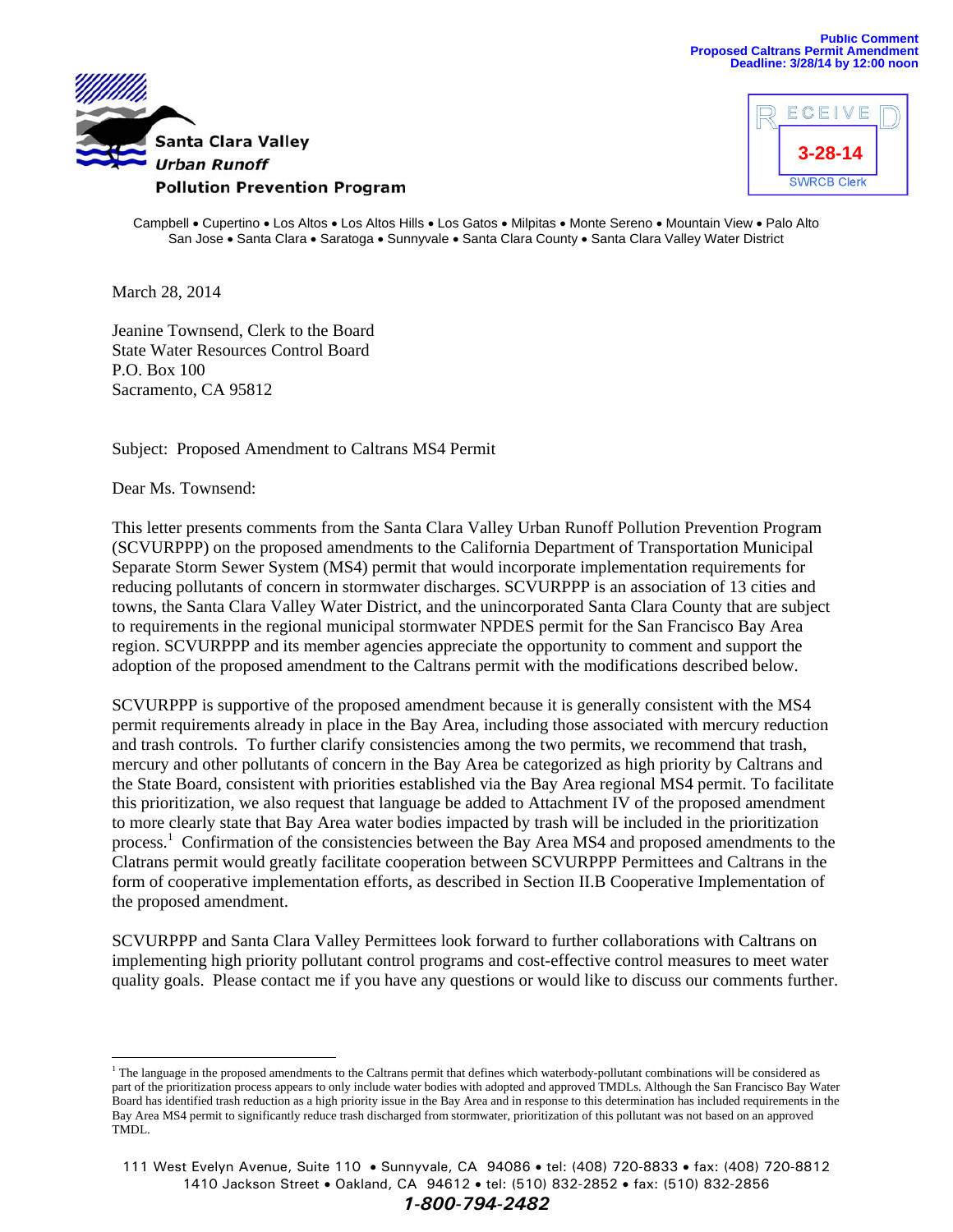



Campbell • Cupertino • Los Altos • Los Altos Hills • Los Gatos • Milpitas • Monte Sereno • Mountain View • Palo Alto San Jose . Santa Clara . Saratoga . Sunnyvale . Santa Clara County . Santa Clara Valley Water District

March 28, 2014

Jeanine Townsend, Clerk to the Board State Water Resources Control Board P.O. Box 100 Sacramento, CA 95812

Subject: Proposed Amendment to Caltrans MS4 Permit

Dear Ms. Townsend:

This letter presents comments from the Santa Clara Valley Urban Runoff Pollution Prevention Program (SCVURPPP) on the proposed amendments to the California Department of Transportation Municipal Separate Storm Sewer System (MS4) permit that would incorporate implementation requirements for reducing pollutants of concern in stormwater discharges. SCVURPPP is an association of 13 cities and towns, the Santa Clara Valley Water District, and the unincorporated Santa Clara County that are subject to requirements in the regional municipal stormwater NPDES permit for the San Francisco Bay Area region. SCVURPPP and its member agencies appreciate the opportunity to comment and support the adoption of the proposed amendment to the Caltrans permit with the modifications described below.

SCVURPPP is supportive of the proposed amendment because it is generally consistent with the MS4 permit requirements already in place in the Bay Area, including those associated with mercury reduction and trash controls. To further clarify consistencies among the two permits, we recommend that trash, mercury and other pollutants of concern in the Bay Area be categorized as high priority by Caltrans and the State Board, consistent with priorities established via the Bay Area regional MS4 permit. To facilitate this prioritization, we also request that language be added to Attachment IV of the proposed amendment to more clearly state that Bay Area water bodies impacted by trash will be included in the prioritization process.<sup>1</sup> Confirmation of the consistencies between the Bay Area MS4 and proposed amendments to the Clatrans permit would greatly facilitate cooperation between SCVURPPP Permittees and Caltrans in the form of cooperative implementation efforts, as described in Section II.B Cooperative Implementation of the proposed amendment.

SCVURPPP and Santa Clara Valley Permittees look forward to further collaborations with Caltrans on implementing high priority pollutant control programs and cost-effective control measures to meet water quality goals. Please contact me if you have any questions or would like to discuss our comments further.

*1-800-794-2482*

<sup>&</sup>lt;sup>1</sup> The language in the proposed amendments to the Caltrans permit that defines which waterbody-pollutant combinations will be considered as part of the prioritization process appears to only include water bodies with adopted and approved TMDLs. Although the San Francisco Bay Water Board has identified trash reduction as a high priority issue in the Bay Area and in response to this determination has included requirements in the Bay Area MS4 permit to significantly reduce trash discharged from stormwater, prioritization of this pollutant was not based on an approved TMDL.

<sup>111</sup> West Evelyn Avenue, Suite 110 • Sunnyvale, CA 94086 • tel: (408) 720-8833 • fax: (408) 720-8812 1410 Jackson Street • Oakland, CA 94612 • tel: (510) 832-2852 • fax: (510) 832-2856